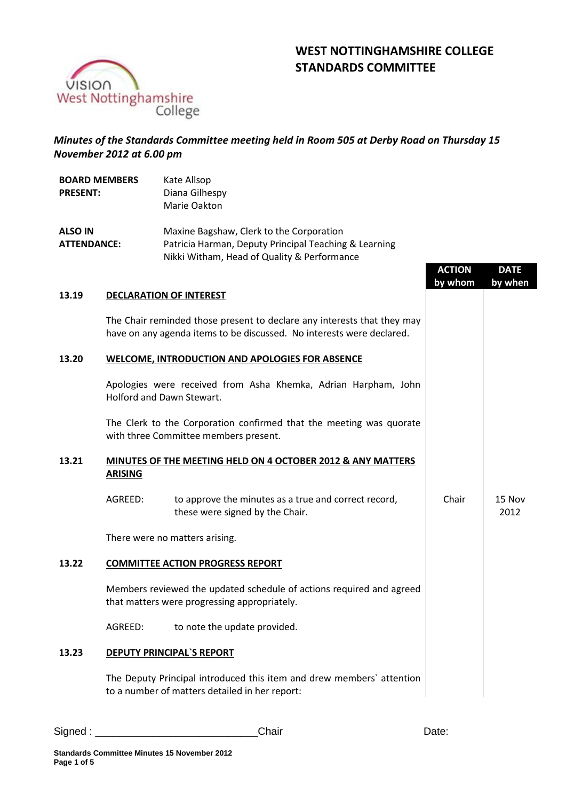# **WEST NOTTINGHAMSHIRE COLLEGE STANDARDS COMMITTEE**

**DATE by when**

2012



## *Minutes of the Standards Committee meeting held in Room 505 at Derby Road on Thursday 15 November 2012 at 6.00 pm*

| <b>BOARD MEMBERS</b> | Kate Allsop                                           |               |
|----------------------|-------------------------------------------------------|---------------|
| <b>PRESENT:</b>      | Diana Gilhespy                                        |               |
|                      | Marie Oakton                                          |               |
| <b>ALSO IN</b>       | Maxine Bagshaw, Clerk to the Corporation              |               |
| <b>ATTENDANCE:</b>   | Patricia Harman, Deputy Principal Teaching & Learning |               |
|                      | Nikki Witham, Head of Quality & Performance           |               |
|                      |                                                       | <b>ACTION</b> |
|                      |                                                       | bv whom       |

## **13.19 DECLARATION OF INTEREST**

The Chair reminded those present to declare any interests that they may have on any agenda items to be discussed. No interests were declared.

#### **13.20 WELCOME, INTRODUCTION AND APOLOGIES FOR ABSENCE**

Apologies were received from Asha Khemka, Adrian Harpham, John Holford and Dawn Stewart.

The Clerk to the Corporation confirmed that the meeting was quorate with three Committee members present.

#### **13.21 MINUTES OF THE MEETING HELD ON 4 OCTOBER 2012 & ANY MATTERS ARISING**

AGREED: to approve the minutes as a true and correct record, these were signed by the Chair. Chair | 15 Nov

There were no matters arising.

## **13.22 COMMITTEE ACTION PROGRESS REPORT**

Members reviewed the updated schedule of actions required and agreed that matters were progressing appropriately.

AGREED: to note the update provided.

#### **13.23 DEPUTY PRINCIPAL`S REPORT**

The Deputy Principal introduced this item and drew members` attention to a number of matters detailed in her report: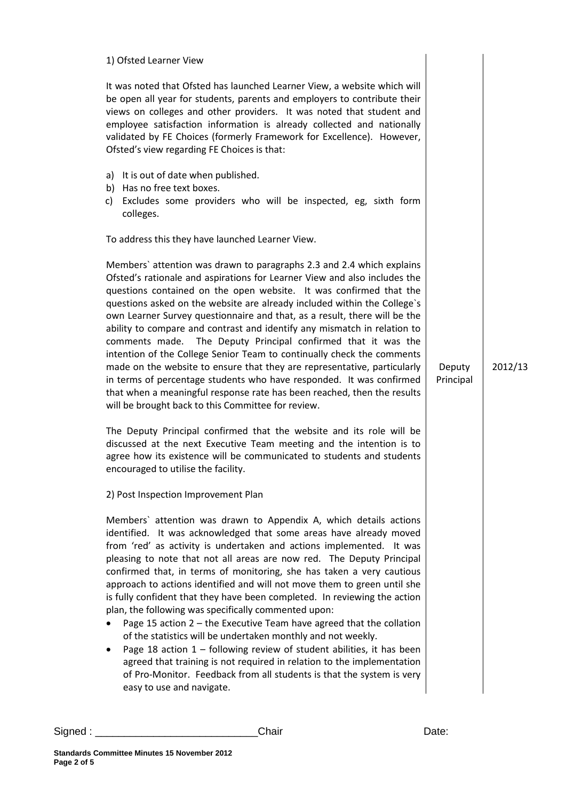| 1) Ofsted Learner View                                                                                                                                                                                                                                                                                                                                                                                                                                                                                                                                                                                                                                                                                                                                                                                                                                                                                                                                                                  |                     |         |
|-----------------------------------------------------------------------------------------------------------------------------------------------------------------------------------------------------------------------------------------------------------------------------------------------------------------------------------------------------------------------------------------------------------------------------------------------------------------------------------------------------------------------------------------------------------------------------------------------------------------------------------------------------------------------------------------------------------------------------------------------------------------------------------------------------------------------------------------------------------------------------------------------------------------------------------------------------------------------------------------|---------------------|---------|
| It was noted that Ofsted has launched Learner View, a website which will<br>be open all year for students, parents and employers to contribute their<br>views on colleges and other providers. It was noted that student and<br>employee satisfaction information is already collected and nationally<br>validated by FE Choices (formerly Framework for Excellence). However,<br>Ofsted's view regarding FE Choices is that:                                                                                                                                                                                                                                                                                                                                                                                                                                                                                                                                                           |                     |         |
| a) It is out of date when published.<br>b) Has no free text boxes.<br>Excludes some providers who will be inspected, eg, sixth form<br>c)<br>colleges.                                                                                                                                                                                                                                                                                                                                                                                                                                                                                                                                                                                                                                                                                                                                                                                                                                  |                     |         |
| To address this they have launched Learner View.                                                                                                                                                                                                                                                                                                                                                                                                                                                                                                                                                                                                                                                                                                                                                                                                                                                                                                                                        |                     |         |
| Members' attention was drawn to paragraphs 2.3 and 2.4 which explains<br>Ofsted's rationale and aspirations for Learner View and also includes the<br>questions contained on the open website. It was confirmed that the<br>questions asked on the website are already included within the College's<br>own Learner Survey questionnaire and that, as a result, there will be the<br>ability to compare and contrast and identify any mismatch in relation to<br>comments made. The Deputy Principal confirmed that it was the<br>intention of the College Senior Team to continually check the comments<br>made on the website to ensure that they are representative, particularly<br>in terms of percentage students who have responded. It was confirmed<br>that when a meaningful response rate has been reached, then the results<br>will be brought back to this Committee for review.                                                                                           | Deputy<br>Principal | 2012/13 |
| The Deputy Principal confirmed that the website and its role will be<br>discussed at the next Executive Team meeting and the intention is to<br>agree how its existence will be communicated to students and students<br>encouraged to utilise the facility.                                                                                                                                                                                                                                                                                                                                                                                                                                                                                                                                                                                                                                                                                                                            |                     |         |
| 2) Post Inspection Improvement Plan                                                                                                                                                                                                                                                                                                                                                                                                                                                                                                                                                                                                                                                                                                                                                                                                                                                                                                                                                     |                     |         |
| Members' attention was drawn to Appendix A, which details actions<br>identified. It was acknowledged that some areas have already moved<br>from 'red' as activity is undertaken and actions implemented. It was<br>pleasing to note that not all areas are now red. The Deputy Principal<br>confirmed that, in terms of monitoring, she has taken a very cautious<br>approach to actions identified and will not move them to green until she<br>is fully confident that they have been completed. In reviewing the action<br>plan, the following was specifically commented upon:<br>Page 15 action $2$ – the Executive Team have agreed that the collation<br>of the statistics will be undertaken monthly and not weekly.<br>Page 18 action $1$ – following review of student abilities, it has been<br>agreed that training is not required in relation to the implementation<br>of Pro-Monitor. Feedback from all students is that the system is very<br>easy to use and navigate. |                     |         |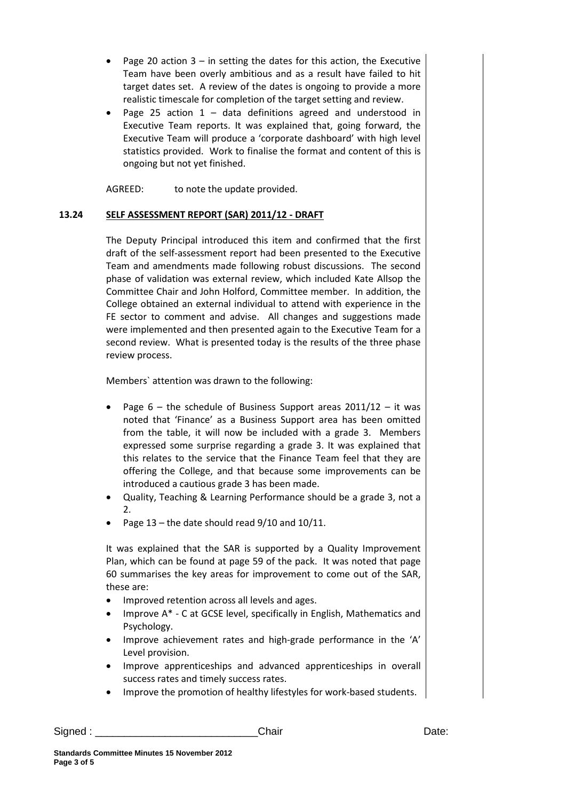- Page 20 action  $3 -$  in setting the dates for this action, the Executive Team have been overly ambitious and as a result have failed to hit target dates set. A review of the dates is ongoing to provide a more realistic timescale for completion of the target setting and review.
- Page 25 action  $1 -$  data definitions agreed and understood in Executive Team reports. It was explained that, going forward, the Executive Team will produce a 'corporate dashboard' with high level statistics provided. Work to finalise the format and content of this is ongoing but not yet finished.

AGREED: to note the update provided.

## **13.24 SELF ASSESSMENT REPORT (SAR) 2011/12 - DRAFT**

The Deputy Principal introduced this item and confirmed that the first draft of the self-assessment report had been presented to the Executive Team and amendments made following robust discussions. The second phase of validation was external review, which included Kate Allsop the Committee Chair and John Holford, Committee member. In addition, the College obtained an external individual to attend with experience in the FE sector to comment and advise. All changes and suggestions made were implemented and then presented again to the Executive Team for a second review. What is presented today is the results of the three phase review process.

Members` attention was drawn to the following:

- Page  $6 -$  the schedule of Business Support areas  $2011/12 -$  it was noted that 'Finance' as a Business Support area has been omitted from the table, it will now be included with a grade 3. Members expressed some surprise regarding a grade 3. It was explained that this relates to the service that the Finance Team feel that they are offering the College, and that because some improvements can be introduced a cautious grade 3 has been made.
- Quality, Teaching & Learning Performance should be a grade 3, not a  $\mathcal{P}$
- Page  $13$  the date should read  $9/10$  and  $10/11$ .

It was explained that the SAR is supported by a Quality Improvement Plan, which can be found at page 59 of the pack. It was noted that page 60 summarises the key areas for improvement to come out of the SAR, these are:

- Improved retention across all levels and ages.
- Improve A\* C at GCSE level, specifically in English, Mathematics and Psychology.
- Improve achievement rates and high-grade performance in the 'A' Level provision.
- Improve apprenticeships and advanced apprenticeships in overall success rates and timely success rates.
- Improve the promotion of healthy lifestyles for work-based students.

Signed : \_\_\_\_\_\_\_\_\_\_\_\_\_\_\_\_\_\_\_\_\_\_\_\_\_\_\_\_Chair Date: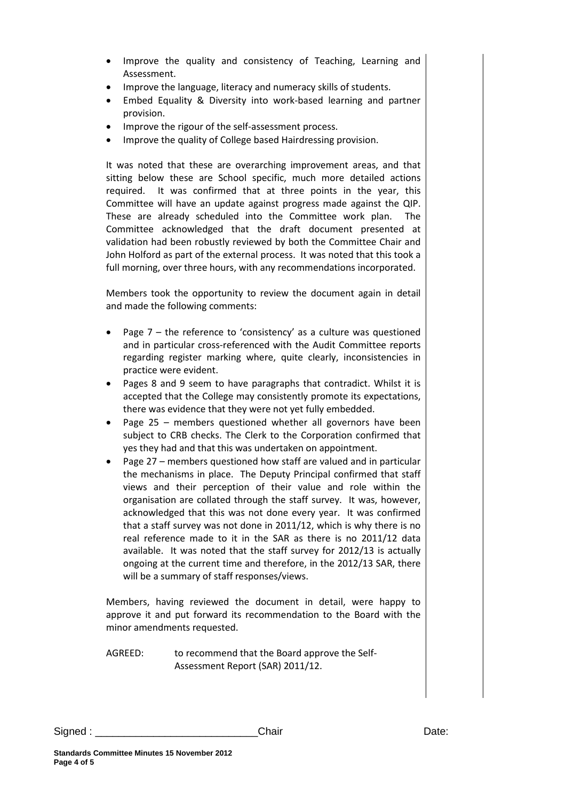- Improve the quality and consistency of Teaching, Learning and Assessment.
- Improve the language, literacy and numeracy skills of students.
- Embed Equality & Diversity into work-based learning and partner provision.
- Improve the rigour of the self-assessment process.
- Improve the quality of College based Hairdressing provision.

It was noted that these are overarching improvement areas, and that sitting below these are School specific, much more detailed actions required. It was confirmed that at three points in the year, this Committee will have an update against progress made against the QIP. These are already scheduled into the Committee work plan. The Committee acknowledged that the draft document presented at validation had been robustly reviewed by both the Committee Chair and John Holford as part of the external process. It was noted that this took a full morning, over three hours, with any recommendations incorporated.

Members took the opportunity to review the document again in detail and made the following comments:

- Page  $7$  the reference to 'consistency' as a culture was questioned and in particular cross-referenced with the Audit Committee reports regarding register marking where, quite clearly, inconsistencies in practice were evident.
- Pages 8 and 9 seem to have paragraphs that contradict. Whilst it is accepted that the College may consistently promote its expectations, there was evidence that they were not yet fully embedded.
- Page 25 members questioned whether all governors have been subject to CRB checks. The Clerk to the Corporation confirmed that yes they had and that this was undertaken on appointment.
- Page 27 members questioned how staff are valued and in particular the mechanisms in place. The Deputy Principal confirmed that staff views and their perception of their value and role within the organisation are collated through the staff survey. It was, however, acknowledged that this was not done every year. It was confirmed that a staff survey was not done in 2011/12, which is why there is no real reference made to it in the SAR as there is no 2011/12 data available. It was noted that the staff survey for 2012/13 is actually ongoing at the current time and therefore, in the 2012/13 SAR, there will be a summary of staff responses/views.

Members, having reviewed the document in detail, were happy to approve it and put forward its recommendation to the Board with the minor amendments requested.

AGREED: to recommend that the Board approve the Self-Assessment Report (SAR) 2011/12.